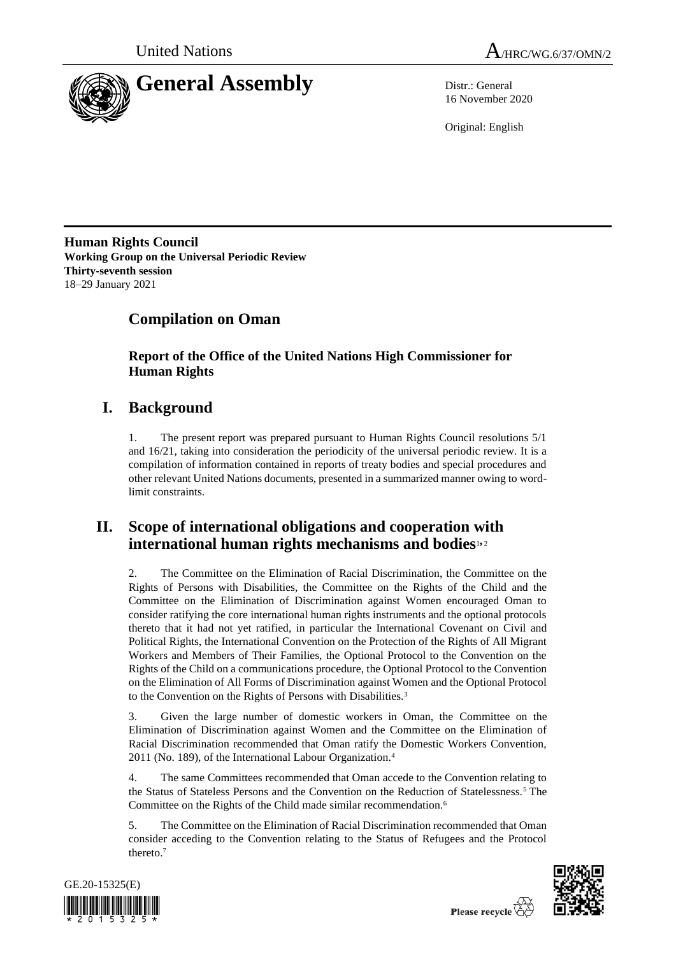



16 November 2020

Original: English

**Human Rights Council Working Group on the Universal Periodic Review Thirty-seventh session** 18–29 January 2021

# **Compilation on Oman**

**Report of the Office of the United Nations High Commissioner for Human Rights**

# **I. Background**

1. The present report was prepared pursuant to Human Rights Council resolutions 5/1 and 16/21, taking into consideration the periodicity of the universal periodic review. It is a compilation of information contained in reports of treaty bodies and special procedures and other relevant United Nations documents, presented in a summarized manner owing to wordlimit constraints.

# **II. Scope of international obligations and cooperation with international human rights mechanisms and bodies**1**,** <sup>2</sup>

2. The Committee on the Elimination of Racial Discrimination, the Committee on the Rights of Persons with Disabilities, the Committee on the Rights of the Child and the Committee on the Elimination of Discrimination against Women encouraged Oman to consider ratifying the core international human rights instruments and the optional protocols thereto that it had not yet ratified, in particular the International Covenant on Civil and Political Rights, the International Convention on the Protection of the Rights of All Migrant Workers and Members of Their Families, the Optional Protocol to the Convention on the Rights of the Child on a communications procedure, the Optional Protocol to the Convention on the Elimination of All Forms of Discrimination against Women and the Optional Protocol to the Convention on the Rights of Persons with Disabilities.<sup>3</sup>

3. Given the large number of domestic workers in Oman, the Committee on the Elimination of Discrimination against Women and the Committee on the Elimination of Racial Discrimination recommended that Oman ratify the Domestic Workers Convention, 2011 (No. 189), of the International Labour Organization.<sup>4</sup>

4. The same Committees recommended that Oman accede to the Convention relating to the Status of Stateless Persons and the Convention on the Reduction of Statelessness.<sup>5</sup> The Committee on the Rights of the Child made similar recommendation.<sup>6</sup>

5. The Committee on the Elimination of Racial Discrimination recommended that Oman consider acceding to the Convention relating to the Status of Refugees and the Protocol thereto.<sup>7</sup>



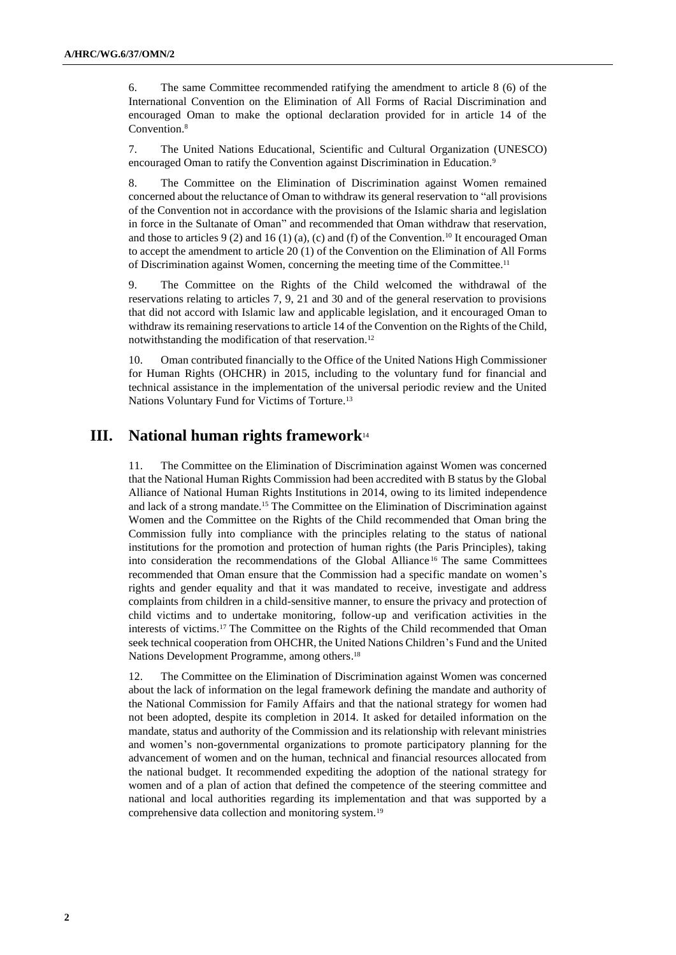6. The same Committee recommended ratifying the amendment to article 8 (6) of the International Convention on the Elimination of All Forms of Racial Discrimination and encouraged Oman to make the optional declaration provided for in article 14 of the Convention.<sup>8</sup>

7. The United Nations Educational, Scientific and Cultural Organization (UNESCO) encouraged Oman to ratify the Convention against Discrimination in Education.<sup>9</sup>

8. The Committee on the Elimination of Discrimination against Women remained concerned about the reluctance of Oman to withdraw its general reservation to "all provisions of the Convention not in accordance with the provisions of the Islamic sharia and legislation in force in the Sultanate of Oman" and recommended that Oman withdraw that reservation, and those to articles 9 (2) and 16 (1) (a), (c) and (f) of the Convention.<sup>10</sup> It encouraged Oman to accept the amendment to article 20 (1) of the Convention on the Elimination of All Forms of Discrimination against Women, concerning the meeting time of the Committee.<sup>11</sup>

9. The Committee on the Rights of the Child welcomed the withdrawal of the reservations relating to articles 7, 9, 21 and 30 and of the general reservation to provisions that did not accord with Islamic law and applicable legislation, and it encouraged Oman to withdraw its remaining reservations to article 14 of the Convention on the Rights of the Child, notwithstanding the modification of that reservation.<sup>12</sup>

10. Oman contributed financially to the Office of the United Nations High Commissioner for Human Rights (OHCHR) in 2015, including to the voluntary fund for financial and technical assistance in the implementation of the universal periodic review and the United Nations Voluntary Fund for Victims of Torture.<sup>13</sup>

# **III. National human rights framework**<sup>14</sup>

11. The Committee on the Elimination of Discrimination against Women was concerned that the National Human Rights Commission had been accredited with B status by the Global Alliance of National Human Rights Institutions in 2014, owing to its limited independence and lack of a strong mandate.<sup>15</sup> The Committee on the Elimination of Discrimination against Women and the Committee on the Rights of the Child recommended that Oman bring the Commission fully into compliance with the principles relating to the status of national institutions for the promotion and protection of human rights (the Paris Principles), taking into consideration the recommendations of the Global Alliance <sup>16</sup> The same Committees recommended that Oman ensure that the Commission had a specific mandate on women's rights and gender equality and that it was mandated to receive, investigate and address complaints from children in a child-sensitive manner, to ensure the privacy and protection of child victims and to undertake monitoring, follow-up and verification activities in the interests of victims.<sup>17</sup> The Committee on the Rights of the Child recommended that Oman seek technical cooperation from OHCHR, the United Nations Children's Fund and the United Nations Development Programme, among others. 18

12. The Committee on the Elimination of Discrimination against Women was concerned about the lack of information on the legal framework defining the mandate and authority of the National Commission for Family Affairs and that the national strategy for women had not been adopted, despite its completion in 2014. It asked for detailed information on the mandate, status and authority of the Commission and its relationship with relevant ministries and women's non-governmental organizations to promote participatory planning for the advancement of women and on the human, technical and financial resources allocated from the national budget. It recommended expediting the adoption of the national strategy for women and of a plan of action that defined the competence of the steering committee and national and local authorities regarding its implementation and that was supported by a comprehensive data collection and monitoring system.<sup>19</sup>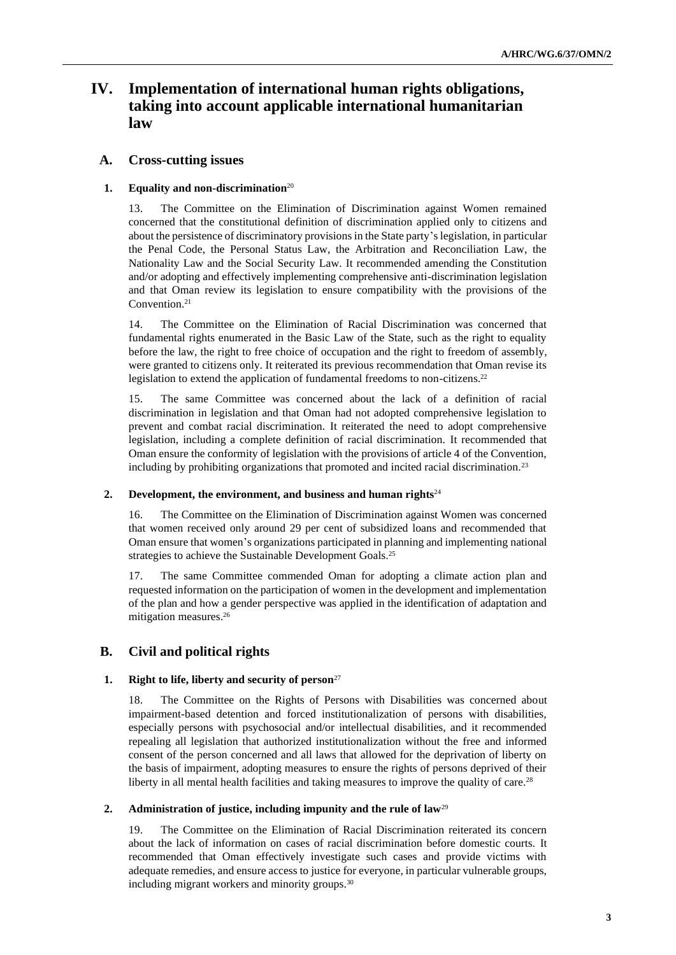# **IV. Implementation of international human rights obligations, taking into account applicable international humanitarian law**

# **A. Cross-cutting issues**

## **1. Equality and non-discrimination**<sup>20</sup>

13. The Committee on the Elimination of Discrimination against Women remained concerned that the constitutional definition of discrimination applied only to citizens and about the persistence of discriminatory provisions in the State party's legislation, in particular the Penal Code, the Personal Status Law, the Arbitration and Reconciliation Law, the Nationality Law and the Social Security Law. It recommended amending the Constitution and/or adopting and effectively implementing comprehensive anti-discrimination legislation and that Oman review its legislation to ensure compatibility with the provisions of the Convention.<sup>21</sup>

14. The Committee on the Elimination of Racial Discrimination was concerned that fundamental rights enumerated in the Basic Law of the State, such as the right to equality before the law, the right to free choice of occupation and the right to freedom of assembly, were granted to citizens only. It reiterated its previous recommendation that Oman revise its legislation to extend the application of fundamental freedoms to non-citizens.<sup>22</sup>

15. The same Committee was concerned about the lack of a definition of racial discrimination in legislation and that Oman had not adopted comprehensive legislation to prevent and combat racial discrimination. It reiterated the need to adopt comprehensive legislation, including a complete definition of racial discrimination. It recommended that Oman ensure the conformity of legislation with the provisions of article 4 of the Convention, including by prohibiting organizations that promoted and incited racial discrimination.<sup>23</sup>

## **2. Development, the environment, and business and human rights**<sup>24</sup>

16. The Committee on the Elimination of Discrimination against Women was concerned that women received only around 29 per cent of subsidized loans and recommended that Oman ensure that women's organizations participated in planning and implementing national strategies to achieve the Sustainable Development Goals.<sup>25</sup>

17. The same Committee commended Oman for adopting a climate action plan and requested information on the participation of women in the development and implementation of the plan and how a gender perspective was applied in the identification of adaptation and mitigation measures.<sup>26</sup>

# **B. Civil and political rights**

## **1. Right to life, liberty and security of person**<sup>27</sup>

18. The Committee on the Rights of Persons with Disabilities was concerned about impairment-based detention and forced institutionalization of persons with disabilities, especially persons with psychosocial and/or intellectual disabilities, and it recommended repealing all legislation that authorized institutionalization without the free and informed consent of the person concerned and all laws that allowed for the deprivation of liberty on the basis of impairment, adopting measures to ensure the rights of persons deprived of their liberty in all mental health facilities and taking measures to improve the quality of care.<sup>28</sup>

## **2. Administration of justice, including impunity and the rule of law**<sup>29</sup>

19. The Committee on the Elimination of Racial Discrimination reiterated its concern about the lack of information on cases of racial discrimination before domestic courts. It recommended that Oman effectively investigate such cases and provide victims with adequate remedies, and ensure access to justice for everyone, in particular vulnerable groups, including migrant workers and minority groups.30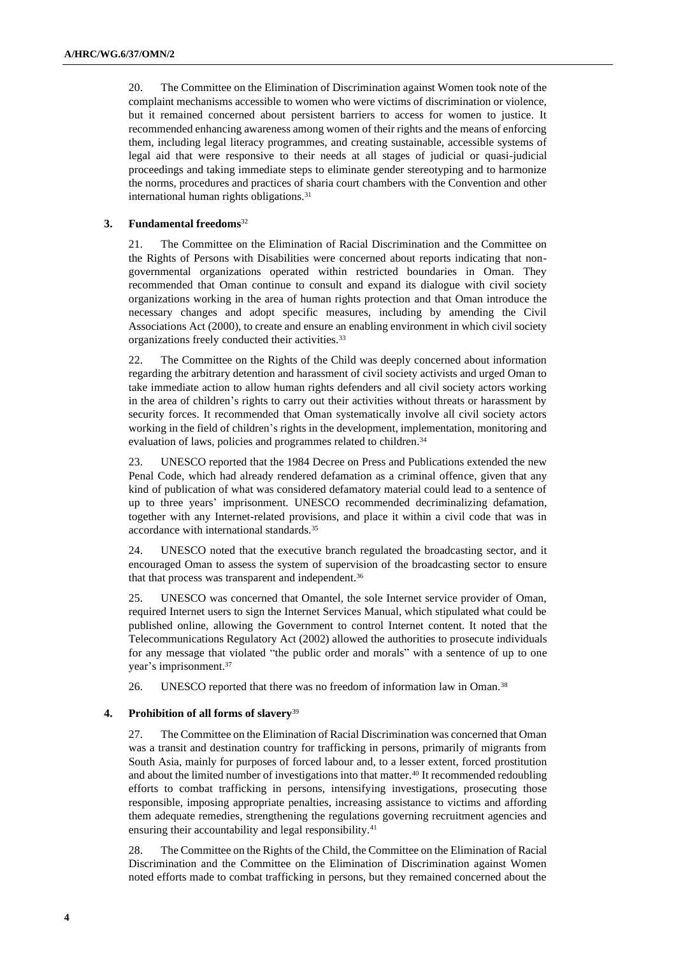20. The Committee on the Elimination of Discrimination against Women took note of the complaint mechanisms accessible to women who were victims of discrimination or violence, but it remained concerned about persistent barriers to access for women to justice. It recommended enhancing awareness among women of their rights and the means of enforcing them, including legal literacy programmes, and creating sustainable, accessible systems of legal aid that were responsive to their needs at all stages of judicial or quasi-judicial proceedings and taking immediate steps to eliminate gender stereotyping and to harmonize the norms, procedures and practices of sharia court chambers with the Convention and other international human rights obligations.<sup>31</sup>

#### **3. Fundamental freedoms**<sup>32</sup>

21. The Committee on the Elimination of Racial Discrimination and the Committee on the Rights of Persons with Disabilities were concerned about reports indicating that nongovernmental organizations operated within restricted boundaries in Oman. They recommended that Oman continue to consult and expand its dialogue with civil society organizations working in the area of human rights protection and that Oman introduce the necessary changes and adopt specific measures, including by amending the Civil Associations Act (2000), to create and ensure an enabling environment in which civil society organizations freely conducted their activities.<sup>33</sup>

22. The Committee on the Rights of the Child was deeply concerned about information regarding the arbitrary detention and harassment of civil society activists and urged Oman to take immediate action to allow human rights defenders and all civil society actors working in the area of children's rights to carry out their activities without threats or harassment by security forces. It recommended that Oman systematically involve all civil society actors working in the field of children's rights in the development, implementation, monitoring and evaluation of laws, policies and programmes related to children.<sup>34</sup>

23. UNESCO reported that the 1984 Decree on Press and Publications extended the new Penal Code, which had already rendered defamation as a criminal offence, given that any kind of publication of what was considered defamatory material could lead to a sentence of up to three years' imprisonment. UNESCO recommended decriminalizing defamation, together with any Internet-related provisions, and place it within a civil code that was in accordance with international standards.<sup>35</sup>

24. UNESCO noted that the executive branch regulated the broadcasting sector, and it encouraged Oman to assess the system of supervision of the broadcasting sector to ensure that that process was transparent and independent.<sup>36</sup>

25. UNESCO was concerned that Omantel, the sole Internet service provider of Oman, required Internet users to sign the Internet Services Manual, which stipulated what could be published online, allowing the Government to control Internet content. It noted that the Telecommunications Regulatory Act (2002) allowed the authorities to prosecute individuals for any message that violated "the public order and morals" with a sentence of up to one year's imprisonment.<sup>37</sup>

26. UNESCO reported that there was no freedom of information law in Oman.<sup>38</sup>

#### **4. Prohibition of all forms of slavery**<sup>39</sup>

27. The Committee on the Elimination of Racial Discrimination was concerned that Oman was a transit and destination country for trafficking in persons, primarily of migrants from South Asia, mainly for purposes of forced labour and, to a lesser extent, forced prostitution and about the limited number of investigations into that matter.<sup>40</sup> It recommended redoubling efforts to combat trafficking in persons, intensifying investigations, prosecuting those responsible, imposing appropriate penalties, increasing assistance to victims and affording them adequate remedies, strengthening the regulations governing recruitment agencies and ensuring their accountability and legal responsibility.<sup>41</sup>

28. The Committee on the Rights of the Child, the Committee on the Elimination of Racial Discrimination and the Committee on the Elimination of Discrimination against Women noted efforts made to combat trafficking in persons, but they remained concerned about the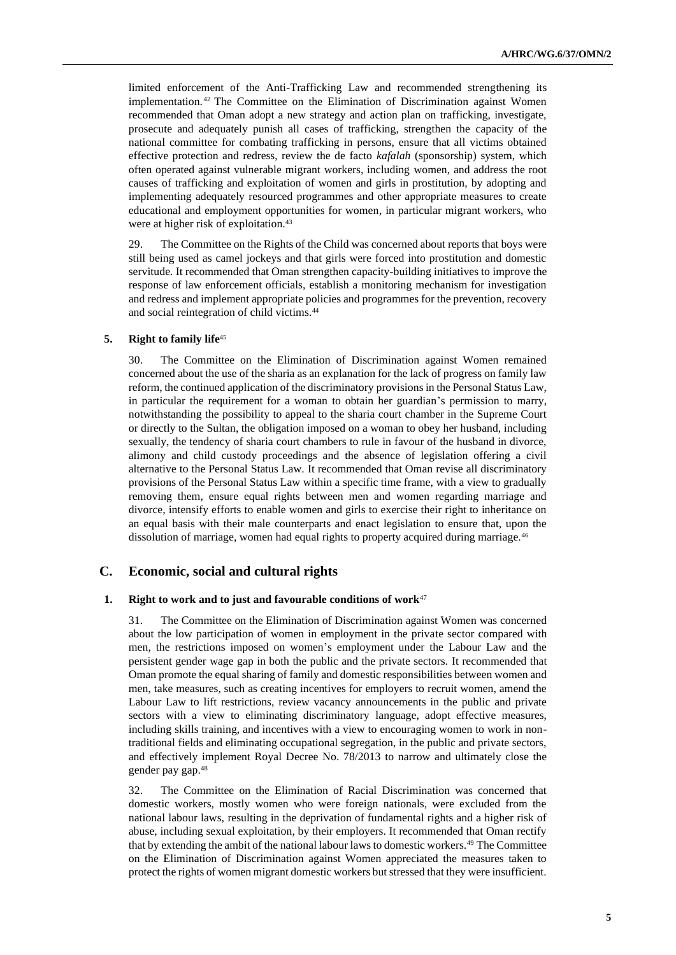limited enforcement of the Anti-Trafficking Law and recommended strengthening its implementation. <sup>42</sup> The Committee on the Elimination of Discrimination against Women recommended that Oman adopt a new strategy and action plan on trafficking, investigate, prosecute and adequately punish all cases of trafficking, strengthen the capacity of the national committee for combating trafficking in persons, ensure that all victims obtained effective protection and redress, review the de facto *kafalah* (sponsorship) system, which often operated against vulnerable migrant workers, including women, and address the root causes of trafficking and exploitation of women and girls in prostitution, by adopting and implementing adequately resourced programmes and other appropriate measures to create educational and employment opportunities for women, in particular migrant workers, who were at higher risk of exploitation.<sup>43</sup>

29. The Committee on the Rights of the Child was concerned about reports that boys were still being used as camel jockeys and that girls were forced into prostitution and domestic servitude. It recommended that Oman strengthen capacity-building initiatives to improve the response of law enforcement officials, establish a monitoring mechanism for investigation and redress and implement appropriate policies and programmes for the prevention, recovery and social reintegration of child victims.<sup>44</sup>

#### **5. Right to family life**<sup>45</sup>

30. The Committee on the Elimination of Discrimination against Women remained concerned about the use of the sharia as an explanation for the lack of progress on family law reform, the continued application of the discriminatory provisions in the Personal Status Law, in particular the requirement for a woman to obtain her guardian's permission to marry, notwithstanding the possibility to appeal to the sharia court chamber in the Supreme Court or directly to the Sultan, the obligation imposed on a woman to obey her husband, including sexually, the tendency of sharia court chambers to rule in favour of the husband in divorce, alimony and child custody proceedings and the absence of legislation offering a civil alternative to the Personal Status Law. It recommended that Oman revise all discriminatory provisions of the Personal Status Law within a specific time frame, with a view to gradually removing them, ensure equal rights between men and women regarding marriage and divorce, intensify efforts to enable women and girls to exercise their right to inheritance on an equal basis with their male counterparts and enact legislation to ensure that, upon the dissolution of marriage, women had equal rights to property acquired during marriage.<sup>46</sup>

## **C. Economic, social and cultural rights**

#### **1. Right to work and to just and favourable conditions of work**<sup>47</sup>

31. The Committee on the Elimination of Discrimination against Women was concerned about the low participation of women in employment in the private sector compared with men, the restrictions imposed on women's employment under the Labour Law and the persistent gender wage gap in both the public and the private sectors. It recommended that Oman promote the equal sharing of family and domestic responsibilities between women and men, take measures, such as creating incentives for employers to recruit women, amend the Labour Law to lift restrictions, review vacancy announcements in the public and private sectors with a view to eliminating discriminatory language, adopt effective measures, including skills training, and incentives with a view to encouraging women to work in nontraditional fields and eliminating occupational segregation, in the public and private sectors, and effectively implement Royal Decree No. 78/2013 to narrow and ultimately close the gender pay gap.<sup>48</sup>

32. The Committee on the Elimination of Racial Discrimination was concerned that domestic workers, mostly women who were foreign nationals, were excluded from the national labour laws, resulting in the deprivation of fundamental rights and a higher risk of abuse, including sexual exploitation, by their employers. It recommended that Oman rectify that by extending the ambit of the national labour laws to domestic workers.<sup>49</sup> The Committee on the Elimination of Discrimination against Women appreciated the measures taken to protect the rights of women migrant domestic workers but stressed that they were insufficient.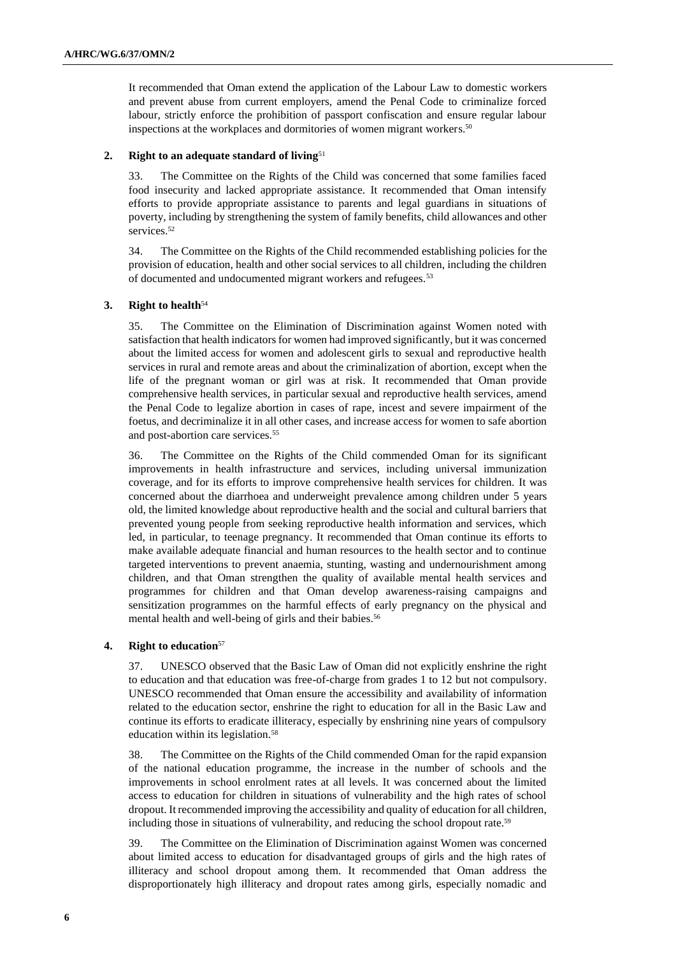It recommended that Oman extend the application of the Labour Law to domestic workers and prevent abuse from current employers, amend the Penal Code to criminalize forced labour, strictly enforce the prohibition of passport confiscation and ensure regular labour inspections at the workplaces and dormitories of women migrant workers.<sup>50</sup>

#### **2. Right to an adequate standard of living**<sup>51</sup>

33. The Committee on the Rights of the Child was concerned that some families faced food insecurity and lacked appropriate assistance. It recommended that Oman intensify efforts to provide appropriate assistance to parents and legal guardians in situations of poverty, including by strengthening the system of family benefits, child allowances and other services.<sup>52</sup>

34. The Committee on the Rights of the Child recommended establishing policies for the provision of education, health and other social services to all children, including the children of documented and undocumented migrant workers and refugees.<sup>53</sup>

#### **3. Right to health**<sup>54</sup>

35. The Committee on the Elimination of Discrimination against Women noted with satisfaction that health indicators for women had improved significantly, but it was concerned about the limited access for women and adolescent girls to sexual and reproductive health services in rural and remote areas and about the criminalization of abortion, except when the life of the pregnant woman or girl was at risk. It recommended that Oman provide comprehensive health services, in particular sexual and reproductive health services, amend the Penal Code to legalize abortion in cases of rape, incest and severe impairment of the foetus, and decriminalize it in all other cases, and increase access for women to safe abortion and post-abortion care services.<sup>55</sup>

36. The Committee on the Rights of the Child commended Oman for its significant improvements in health infrastructure and services, including universal immunization coverage, and for its efforts to improve comprehensive health services for children. It was concerned about the diarrhoea and underweight prevalence among children under 5 years old, the limited knowledge about reproductive health and the social and cultural barriers that prevented young people from seeking reproductive health information and services, which led, in particular, to teenage pregnancy. It recommended that Oman continue its efforts to make available adequate financial and human resources to the health sector and to continue targeted interventions to prevent anaemia, stunting, wasting and undernourishment among children, and that Oman strengthen the quality of available mental health services and programmes for children and that Oman develop awareness-raising campaigns and sensitization programmes on the harmful effects of early pregnancy on the physical and mental health and well-being of girls and their babies.<sup>56</sup>

#### **4. Right to education**<sup>57</sup>

37. UNESCO observed that the Basic Law of Oman did not explicitly enshrine the right to education and that education was free-of-charge from grades 1 to 12 but not compulsory. UNESCO recommended that Oman ensure the accessibility and availability of information related to the education sector, enshrine the right to education for all in the Basic Law and continue its efforts to eradicate illiteracy, especially by enshrining nine years of compulsory education within its legislation.<sup>58</sup>

38. The Committee on the Rights of the Child commended Oman for the rapid expansion of the national education programme, the increase in the number of schools and the improvements in school enrolment rates at all levels. It was concerned about the limited access to education for children in situations of vulnerability and the high rates of school dropout. It recommended improving the accessibility and quality of education for all children, including those in situations of vulnerability, and reducing the school dropout rate.<sup>59</sup>

39. The Committee on the Elimination of Discrimination against Women was concerned about limited access to education for disadvantaged groups of girls and the high rates of illiteracy and school dropout among them. It recommended that Oman address the disproportionately high illiteracy and dropout rates among girls, especially nomadic and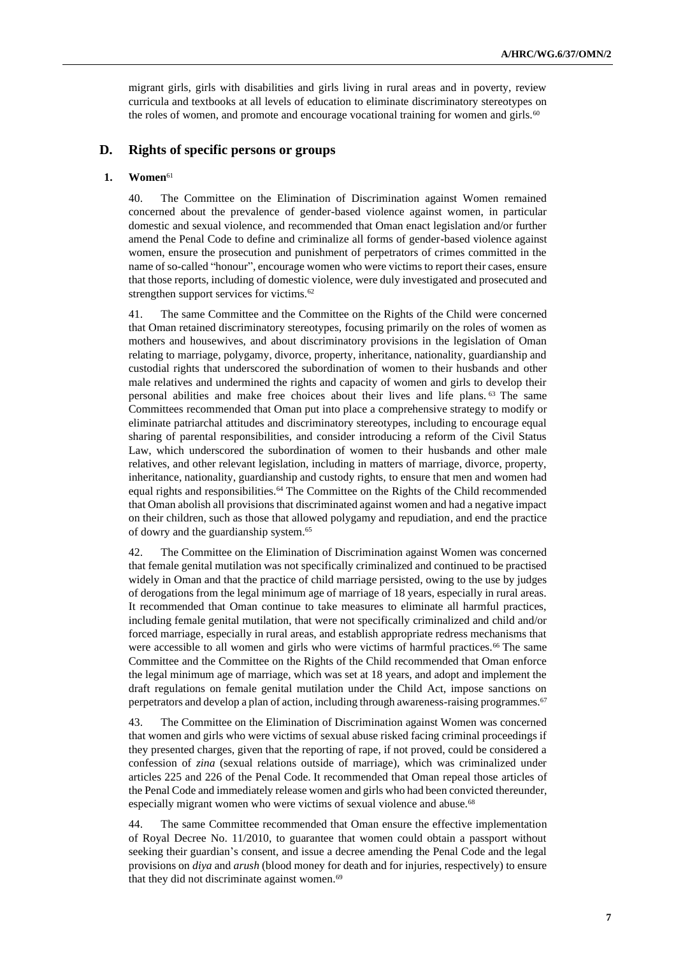migrant girls, girls with disabilities and girls living in rural areas and in poverty, review curricula and textbooks at all levels of education to eliminate discriminatory stereotypes on the roles of women, and promote and encourage vocational training for women and girls.<sup>60</sup>

## **D. Rights of specific persons or groups**

#### **1. Women**<sup>61</sup>

40. The Committee on the Elimination of Discrimination against Women remained concerned about the prevalence of gender-based violence against women, in particular domestic and sexual violence, and recommended that Oman enact legislation and/or further amend the Penal Code to define and criminalize all forms of gender-based violence against women, ensure the prosecution and punishment of perpetrators of crimes committed in the name of so-called "honour", encourage women who were victims to report their cases, ensure that those reports, including of domestic violence, were duly investigated and prosecuted and strengthen support services for victims.<sup>62</sup>

41. The same Committee and the Committee on the Rights of the Child were concerned that Oman retained discriminatory stereotypes, focusing primarily on the roles of women as mothers and housewives, and about discriminatory provisions in the legislation of Oman relating to marriage, polygamy, divorce, property, inheritance, nationality, guardianship and custodial rights that underscored the subordination of women to their husbands and other male relatives and undermined the rights and capacity of women and girls to develop their personal abilities and make free choices about their lives and life plans. <sup>63</sup> The same Committees recommended that Oman put into place a comprehensive strategy to modify or eliminate patriarchal attitudes and discriminatory stereotypes, including to encourage equal sharing of parental responsibilities, and consider introducing a reform of the Civil Status Law, which underscored the subordination of women to their husbands and other male relatives, and other relevant legislation, including in matters of marriage, divorce, property, inheritance, nationality, guardianship and custody rights, to ensure that men and women had equal rights and responsibilities.<sup>64</sup> The Committee on the Rights of the Child recommended that Oman abolish all provisions that discriminated against women and had a negative impact on their children, such as those that allowed polygamy and repudiation, and end the practice of dowry and the guardianship system. 65

42. The Committee on the Elimination of Discrimination against Women was concerned that female genital mutilation was not specifically criminalized and continued to be practised widely in Oman and that the practice of child marriage persisted, owing to the use by judges of derogations from the legal minimum age of marriage of 18 years, especially in rural areas. It recommended that Oman continue to take measures to eliminate all harmful practices, including female genital mutilation, that were not specifically criminalized and child and/or forced marriage, especially in rural areas, and establish appropriate redress mechanisms that were accessible to all women and girls who were victims of harmful practices.<sup>66</sup> The same Committee and the Committee on the Rights of the Child recommended that Oman enforce the legal minimum age of marriage, which was set at 18 years, and adopt and implement the draft regulations on female genital mutilation under the Child Act, impose sanctions on perpetrators and develop a plan of action, including through awareness-raising programmes.<sup>67</sup>

43. The Committee on the Elimination of Discrimination against Women was concerned that women and girls who were victims of sexual abuse risked facing criminal proceedings if they presented charges, given that the reporting of rape, if not proved, could be considered a confession of *zina* (sexual relations outside of marriage), which was criminalized under articles 225 and 226 of the Penal Code. It recommended that Oman repeal those articles of the Penal Code and immediately release women and girls who had been convicted thereunder, especially migrant women who were victims of sexual violence and abuse.<sup>68</sup>

44. The same Committee recommended that Oman ensure the effective implementation of Royal Decree No. 11/2010, to guarantee that women could obtain a passport without seeking their guardian's consent, and issue a decree amending the Penal Code and the legal provisions on *diya* and *arush* (blood money for death and for injuries, respectively) to ensure that they did not discriminate against women.<sup>69</sup>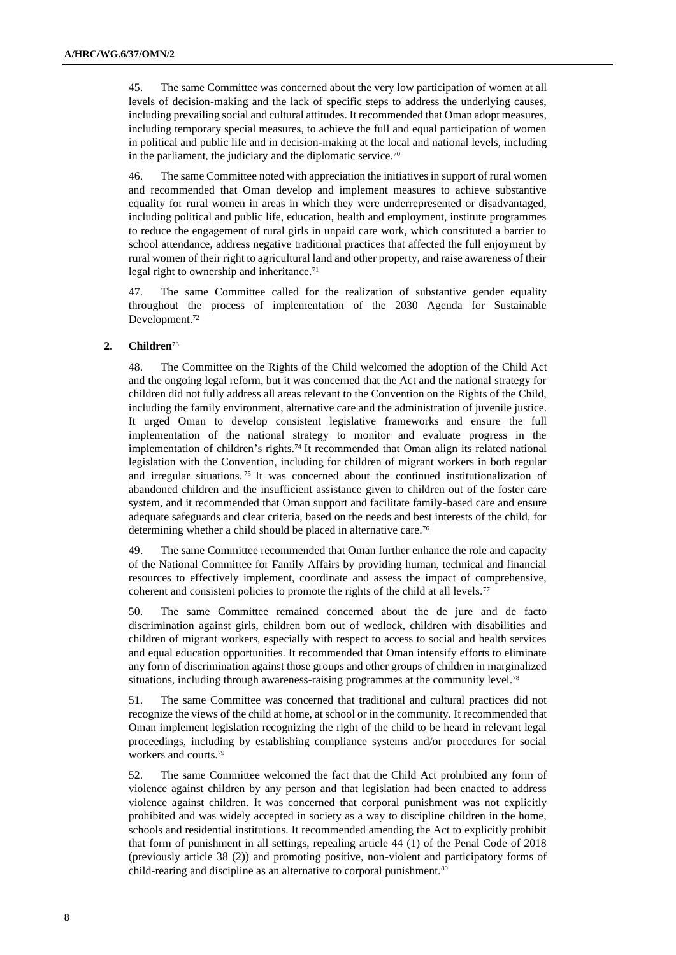45. The same Committee was concerned about the very low participation of women at all levels of decision-making and the lack of specific steps to address the underlying causes, including prevailing social and cultural attitudes. It recommended that Oman adopt measures, including temporary special measures, to achieve the full and equal participation of women in political and public life and in decision-making at the local and national levels, including in the parliament, the judiciary and the diplomatic service.<sup>70</sup>

46. The same Committee noted with appreciation the initiatives in support of rural women and recommended that Oman develop and implement measures to achieve substantive equality for rural women in areas in which they were underrepresented or disadvantaged, including political and public life, education, health and employment, institute programmes to reduce the engagement of rural girls in unpaid care work, which constituted a barrier to school attendance, address negative traditional practices that affected the full enjoyment by rural women of their right to agricultural land and other property, and raise awareness of their legal right to ownership and inheritance.<sup>71</sup>

47. The same Committee called for the realization of substantive gender equality throughout the process of implementation of the 2030 Agenda for Sustainable Development.<sup>72</sup>

#### **2. Children**<sup>73</sup>

48. The Committee on the Rights of the Child welcomed the adoption of the Child Act and the ongoing legal reform, but it was concerned that the Act and the national strategy for children did not fully address all areas relevant to the Convention on the Rights of the Child, including the family environment, alternative care and the administration of juvenile justice. It urged Oman to develop consistent legislative frameworks and ensure the full implementation of the national strategy to monitor and evaluate progress in the implementation of children's rights.<sup>74</sup> It recommended that Oman align its related national legislation with the Convention, including for children of migrant workers in both regular and irregular situations. <sup>75</sup> It was concerned about the continued institutionalization of abandoned children and the insufficient assistance given to children out of the foster care system, and it recommended that Oman support and facilitate family-based care and ensure adequate safeguards and clear criteria, based on the needs and best interests of the child, for determining whether a child should be placed in alternative care.<sup>76</sup>

49. The same Committee recommended that Oman further enhance the role and capacity of the National Committee for Family Affairs by providing human, technical and financial resources to effectively implement, coordinate and assess the impact of comprehensive, coherent and consistent policies to promote the rights of the child at all levels.<sup>77</sup>

50. The same Committee remained concerned about the de jure and de facto discrimination against girls, children born out of wedlock, children with disabilities and children of migrant workers, especially with respect to access to social and health services and equal education opportunities. It recommended that Oman intensify efforts to eliminate any form of discrimination against those groups and other groups of children in marginalized situations, including through awareness-raising programmes at the community level.<sup>78</sup>

51. The same Committee was concerned that traditional and cultural practices did not recognize the views of the child at home, at school or in the community. It recommended that Oman implement legislation recognizing the right of the child to be heard in relevant legal proceedings, including by establishing compliance systems and/or procedures for social workers and courts.<sup>79</sup>

52. The same Committee welcomed the fact that the Child Act prohibited any form of violence against children by any person and that legislation had been enacted to address violence against children. It was concerned that corporal punishment was not explicitly prohibited and was widely accepted in society as a way to discipline children in the home, schools and residential institutions. It recommended amending the Act to explicitly prohibit that form of punishment in all settings, repealing article 44 (1) of the Penal Code of 2018 (previously article 38 (2)) and promoting positive, non-violent and participatory forms of child-rearing and discipline as an alternative to corporal punishment.<sup>80</sup>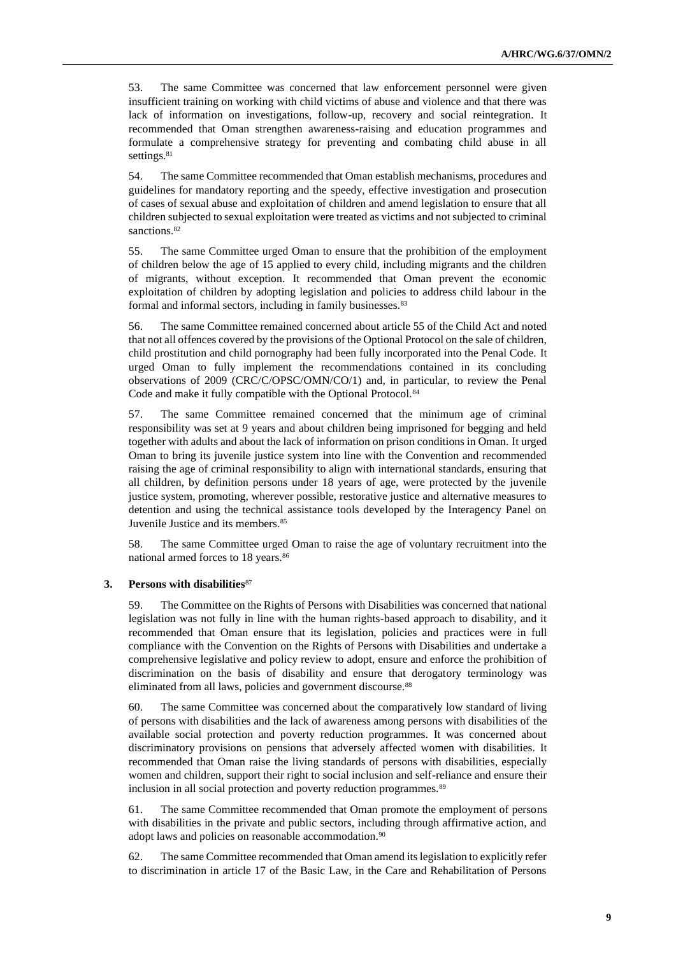53. The same Committee was concerned that law enforcement personnel were given insufficient training on working with child victims of abuse and violence and that there was lack of information on investigations, follow-up, recovery and social reintegration. It recommended that Oman strengthen awareness-raising and education programmes and formulate a comprehensive strategy for preventing and combating child abuse in all settings.<sup>81</sup>

54. The same Committee recommended that Oman establish mechanisms, procedures and guidelines for mandatory reporting and the speedy, effective investigation and prosecution of cases of sexual abuse and exploitation of children and amend legislation to ensure that all children subjected to sexual exploitation were treated as victims and not subjected to criminal sanctions.<sup>82</sup>

55. The same Committee urged Oman to ensure that the prohibition of the employment of children below the age of 15 applied to every child, including migrants and the children of migrants, without exception. It recommended that Oman prevent the economic exploitation of children by adopting legislation and policies to address child labour in the formal and informal sectors, including in family businesses.<sup>83</sup>

56. The same Committee remained concerned about article 55 of the Child Act and noted that not all offences covered by the provisions of the Optional Protocol on the sale of children, child prostitution and child pornography had been fully incorporated into the Penal Code. It urged Oman to fully implement the recommendations contained in its concluding observations of 2009 (CRC/C/OPSC/OMN/CO/1) and, in particular, to review the Penal Code and make it fully compatible with the Optional Protocol.<sup>84</sup>

57. The same Committee remained concerned that the minimum age of criminal responsibility was set at 9 years and about children being imprisoned for begging and held together with adults and about the lack of information on prison conditions in Oman. It urged Oman to bring its juvenile justice system into line with the Convention and recommended raising the age of criminal responsibility to align with international standards, ensuring that all children, by definition persons under 18 years of age, were protected by the juvenile justice system, promoting, wherever possible, restorative justice and alternative measures to detention and using the technical assistance tools developed by the Interagency Panel on Juvenile Justice and its members.<sup>85</sup>

58. The same Committee urged Oman to raise the age of voluntary recruitment into the national armed forces to 18 years.<sup>86</sup>

#### **3. Persons with disabilities**<sup>87</sup>

59. The Committee on the Rights of Persons with Disabilities was concerned that national legislation was not fully in line with the human rights-based approach to disability, and it recommended that Oman ensure that its legislation, policies and practices were in full compliance with the Convention on the Rights of Persons with Disabilities and undertake a comprehensive legislative and policy review to adopt, ensure and enforce the prohibition of discrimination on the basis of disability and ensure that derogatory terminology was eliminated from all laws, policies and government discourse.<sup>88</sup>

60. The same Committee was concerned about the comparatively low standard of living of persons with disabilities and the lack of awareness among persons with disabilities of the available social protection and poverty reduction programmes. It was concerned about discriminatory provisions on pensions that adversely affected women with disabilities. It recommended that Oman raise the living standards of persons with disabilities, especially women and children, support their right to social inclusion and self-reliance and ensure their inclusion in all social protection and poverty reduction programmes.<sup>89</sup>

61. The same Committee recommended that Oman promote the employment of persons with disabilities in the private and public sectors, including through affirmative action, and adopt laws and policies on reasonable accommodation.<sup>90</sup>

62. The same Committee recommended that Oman amend its legislation to explicitly refer to discrimination in article 17 of the Basic Law, in the Care and Rehabilitation of Persons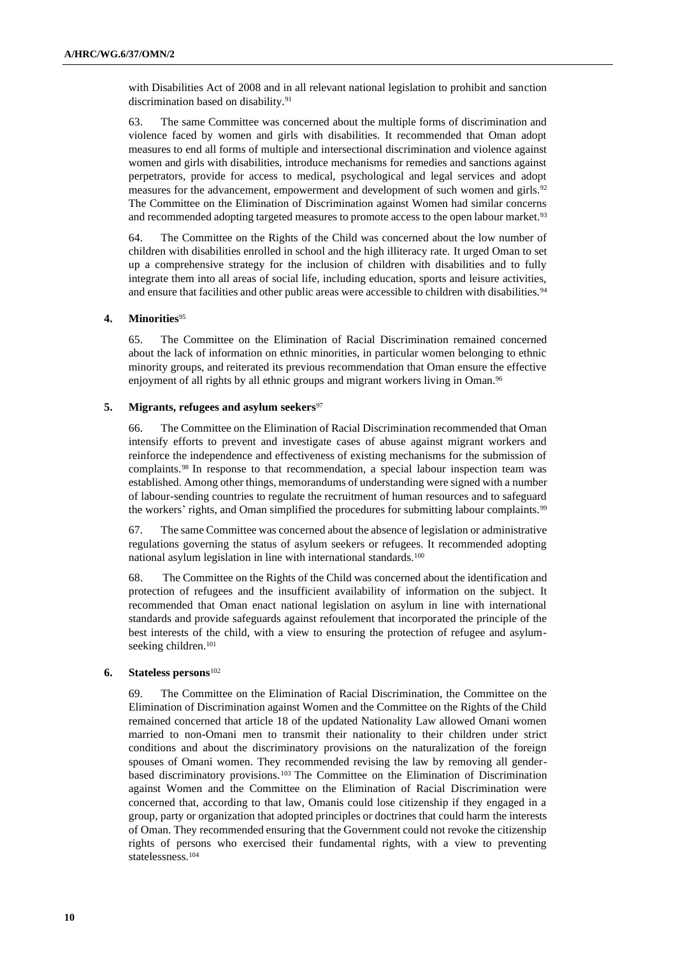with Disabilities Act of 2008 and in all relevant national legislation to prohibit and sanction discrimination based on disability.<sup>91</sup>

63. The same Committee was concerned about the multiple forms of discrimination and violence faced by women and girls with disabilities. It recommended that Oman adopt measures to end all forms of multiple and intersectional discrimination and violence against women and girls with disabilities, introduce mechanisms for remedies and sanctions against perpetrators, provide for access to medical, psychological and legal services and adopt measures for the advancement, empowerment and development of such women and girls.<sup>92</sup> The Committee on the Elimination of Discrimination against Women had similar concerns and recommended adopting targeted measures to promote access to the open labour market.<sup>93</sup>

64. The Committee on the Rights of the Child was concerned about the low number of children with disabilities enrolled in school and the high illiteracy rate. It urged Oman to set up a comprehensive strategy for the inclusion of children with disabilities and to fully integrate them into all areas of social life, including education, sports and leisure activities, and ensure that facilities and other public areas were accessible to children with disabilities.<sup>94</sup>

#### **4. Minorities**<sup>95</sup>

65. The Committee on the Elimination of Racial Discrimination remained concerned about the lack of information on ethnic minorities, in particular women belonging to ethnic minority groups, and reiterated its previous recommendation that Oman ensure the effective enjoyment of all rights by all ethnic groups and migrant workers living in Oman.<sup>96</sup>

# 5. **Migrants, refugees and asylum seekers**<sup>97</sup>

66. The Committee on the Elimination of Racial Discrimination recommended that Oman intensify efforts to prevent and investigate cases of abuse against migrant workers and reinforce the independence and effectiveness of existing mechanisms for the submission of complaints.<sup>98</sup> In response to that recommendation, a special labour inspection team was established. Among other things, memorandums of understanding were signed with a number of labour-sending countries to regulate the recruitment of human resources and to safeguard the workers' rights, and Oman simplified the procedures for submitting labour complaints.<sup>99</sup>

67. The same Committee was concerned about the absence of legislation or administrative regulations governing the status of asylum seekers or refugees. It recommended adopting national asylum legislation in line with international standards.<sup>100</sup>

68. The Committee on the Rights of the Child was concerned about the identification and protection of refugees and the insufficient availability of information on the subject. It recommended that Oman enact national legislation on asylum in line with international standards and provide safeguards against refoulement that incorporated the principle of the best interests of the child, with a view to ensuring the protection of refugee and asylumseeking children.<sup>101</sup>

#### **6. Stateless persons**<sup>102</sup>

69. The Committee on the Elimination of Racial Discrimination, the Committee on the Elimination of Discrimination against Women and the Committee on the Rights of the Child remained concerned that article 18 of the updated Nationality Law allowed Omani women married to non-Omani men to transmit their nationality to their children under strict conditions and about the discriminatory provisions on the naturalization of the foreign spouses of Omani women. They recommended revising the law by removing all genderbased discriminatory provisions.<sup>103</sup> The Committee on the Elimination of Discrimination against Women and the Committee on the Elimination of Racial Discrimination were concerned that, according to that law, Omanis could lose citizenship if they engaged in a group, party or organization that adopted principles or doctrines that could harm the interests of Oman. They recommended ensuring that the Government could not revoke the citizenship rights of persons who exercised their fundamental rights, with a view to preventing statelessness.104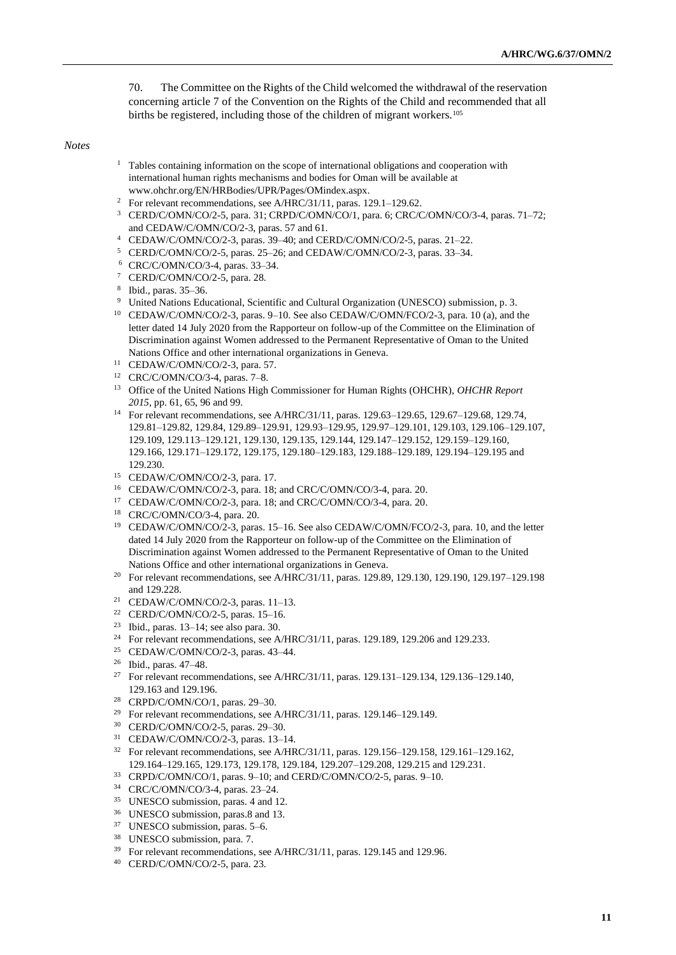70. The Committee on the Rights of the Child welcomed the withdrawal of the reservation concerning article 7 of the Convention on the Rights of the Child and recommended that all births be registered, including those of the children of migrant workers.<sup>105</sup>

*Notes*

- <sup>1</sup> Tables containing information on the scope of international obligations and cooperation with international human rights mechanisms and bodies for Oman will be available at [www.ohchr.org/EN/HRBodies/UPR/Pages/OMindex.aspx.](https://www.ohchr.org/EN/HRBodies/UPR/Pages/OMindex.aspx)
- <sup>2</sup> For relevant recommendations, see A/HRC/31/11, paras. 129.1–129.62.
- <sup>3</sup> CERD/C/OMN/CO/2-5, para. 31; CRPD/C/OMN/CO/1, para. 6; CRC/C/OMN/CO/3-4, paras. 71–72; and CEDAW/C/OMN/CO/2-3, paras. 57 and 61.
- <sup>4</sup> CEDAW/C/OMN/CO/2-3, paras. 39–40; and CERD/C/OMN/CO/2-5, paras. 21–22.
- <sup>5</sup> CERD/C/OMN/CO/2-5, paras. 25–26; and CEDAW/C/OMN/CO/2-3, paras. 33–34.
- <sup>6</sup> CRC/C/OMN/CO/3-4, paras. 33–34.
- <sup>7</sup> CERD/C/OMN/CO/2-5, para. 28.
- 8 Ibid., paras. 35–36.
- <sup>9</sup> United Nations Educational, Scientific and Cultural Organization (UNESCO) submission, p. 3.
- <sup>10</sup> CEDAW/C/OMN/CO/2-3, paras. 9–10. See also CEDAW/C/OMN/FCO/2-3, para. 10 (a), and the letter dated 14 July 2020 from the Rapporteur on follow-up of the Committee on the Elimination of Discrimination against Women addressed to the Permanent Representative of Oman to the United Nations Office and other international organizations in Geneva.
- <sup>11</sup> CEDAW/C/OMN/CO/2-3, para. 57.
- <sup>12</sup> CRC/C/OMN/CO/3-4, paras. 7–8.
- <sup>13</sup> Office of the United Nations High Commissioner for Human Rights (OHCHR), *OHCHR Report 2015*, pp. 61, 65, 96 and 99.
- <sup>14</sup> For relevant recommendations, see A/HRC/31/11, paras. 129.63–129.65, 129.67–129.68, 129.74, 129.81–129.82, 129.84, 129.89–129.91, 129.93–129.95, 129.97–129.101, 129.103, 129.106–129.107, 129.109, 129.113–129.121, 129.130, 129.135, 129.144, 129.147–129.152, 129.159–129.160, 129.166, 129.171–129.172, 129.175, 129.180–129.183, 129.188–129.189, 129.194–129.195 and 129.230.
- <sup>15</sup> CEDAW/C/OMN/CO/2-3, para. 17.
- <sup>16</sup> CEDAW/C/OMN/CO/2-3, para. 18; and CRC/C/OMN/CO/3-4, para. 20.
- <sup>17</sup> CEDAW/C/OMN/CO/2-3, para. 18; and CRC/C/OMN/CO/3-4, para. 20.
- <sup>18</sup> CRC/C/OMN/CO/3-4, para. 20.
- <sup>19</sup> CEDAW/C/OMN/CO/2-3, paras. 15–16. See also CEDAW/C/OMN/FCO/2-3, para. 10, and the letter dated 14 July 2020 from the Rapporteur on follow-up of the Committee on the Elimination of Discrimination against Women addressed to the Permanent Representative of Oman to the United Nations Office and other international organizations in Geneva.
- <sup>20</sup> For relevant recommendations, see A/HRC/31/11, paras. 129.89, 129.130, 129.190, 129.197-129.198 and 129.228.
- <sup>21</sup> CEDAW/C/OMN/CO/2-3, paras. 11–13.
- <sup>22</sup> CERD/C/OMN/CO/2-5, paras. 15–16.
- <sup>23</sup> Ibid., paras. 13–14; see also para. 30.
- <sup>24</sup> For relevant recommendations, see A/HRC/31/11, paras. 129.189, 129.206 and 129.233.
- <sup>25</sup> CEDAW/C/OMN/CO/2-3, paras. 43–44.
- <sup>26</sup> Ibid., paras. 47–48.
- <sup>27</sup> For relevant recommendations, see A/HRC/31/11, paras. 129.131-129.134, 129.136-129.140, 129.163 and 129.196.
- <sup>28</sup> CRPD/C/OMN/CO/1, paras. 29–30.
- <sup>29</sup> For relevant recommendations, see A/HRC/31/11, paras. 129.146-129.149.
- <sup>30</sup> CERD/C/OMN/CO/2-5, paras. 29–30.
- <sup>31</sup> CEDAW/C/OMN/CO/2-3, paras. 13–14.
- <sup>32</sup> For relevant recommendations, see A/HRC/31/11, paras. 129.156–129.158, 129.161–129.162, 129.164–129.165, 129.173, 129.178, 129.184, 129.207–129.208, 129.215 and 129.231.
- <sup>33</sup> CRPD/C/OMN/CO/1, paras. 9–10; and CERD/C/OMN/CO/2-5, paras. 9–10.
- <sup>34</sup> CRC/C/OMN/CO/3-4, paras. 23–24.
- <sup>35</sup> UNESCO submission, paras. 4 and 12.
- <sup>36</sup> UNESCO submission, paras.8 and 13.
- <sup>37</sup> UNESCO submission, paras. 5–6.
- <sup>38</sup> UNESCO submission, para. 7.
- <sup>39</sup> For relevant recommendations, see A/HRC/31/11, paras. 129.145 and 129.96.
- <sup>40</sup> CERD/C/OMN/CO/2-5, para. 23.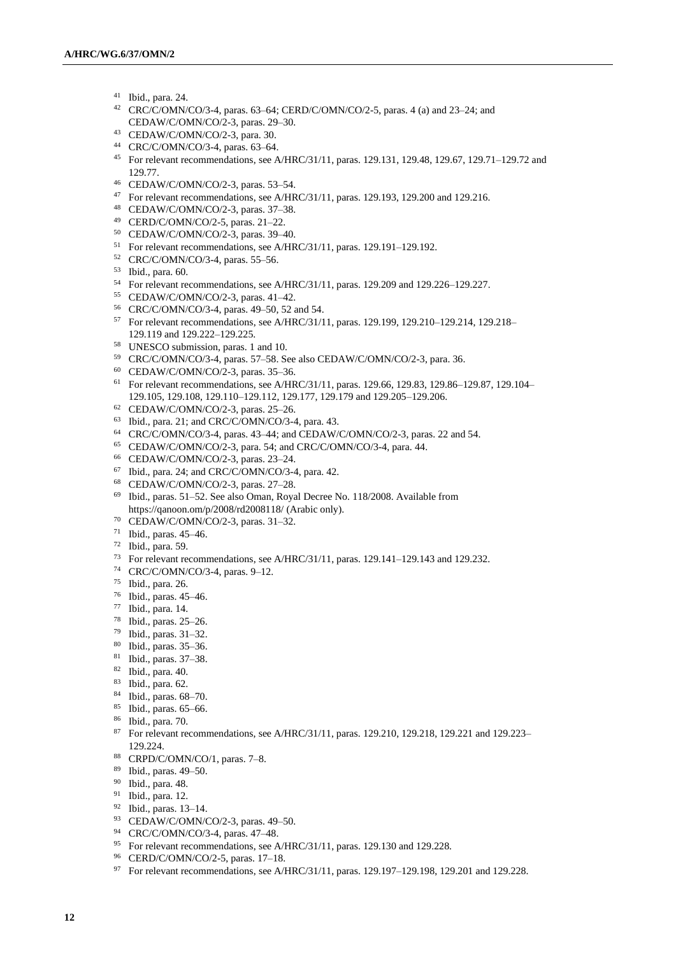- Ibid., para. 24.
- CRC/C/OMN/CO/3-4, paras. 63–64; CERD/C/OMN/CO/2-5, paras. 4 (a) and 23–24; and CEDAW/C/OMN/CO/2-3, paras. 29–30.
- CEDAW/C/OMN/CO/2-3, para. 30.
- CRC/C/OMN/CO/3-4, paras. 63–64.
- For relevant recommendations, see A/HRC/31/11, paras. 129.131, 129.48, 129.67, 129.71–129.72 and 129.77.
- CEDAW/C/OMN/CO/2-3, paras. 53–54.
- For relevant recommendations, see A/HRC/31/11, paras. 129.193, 129.200 and 129.216.
- CEDAW/C/OMN/CO/2-3, paras. 37–38.
- CERD/C/OMN/CO/2-5, paras. 21–22.
- CEDAW/C/OMN/CO/2-3, paras. 39–40.
- For relevant recommendations, see A/HRC/31/11, paras. 129.191–129.192.
- CRC/C/OMN/CO/3-4, paras. 55–56.
- Ibid., para. 60.
- For relevant recommendations, see A/HRC/31/11, paras. 129.209 and 129.226–129.227.
- CEDAW/C/OMN/CO/2-3, paras. 41–42.
- CRC/C/OMN/CO/3-4, paras. 49–50, 52 and 54.
- For relevant recommendations, see A/HRC/31/11, paras. 129.199, 129.210–129.214, 129.218– 129.119 and 129.222–129.225.
- UNESCO submission, paras. 1 and 10.
- CRC/C/OMN/CO/3-4, paras. 57–58. See also CEDAW/C/OMN/CO/2-3, para. 36.
- CEDAW/C/OMN/CO/2-3, paras. 35–36.
- For relevant recommendations, see A/HRC/31/11, paras. 129.66, 129.83, 129.86–129.87, 129.104– 129.105, 129.108, 129.110–129.112, 129.177, 129.179 and 129.205–129.206.
- CEDAW/C/OMN/CO/2-3, paras. 25–26.
- Ibid., para. 21; and CRC/C/OMN/CO/3-4, para. 43.
- CRC/C/OMN/CO/3-4, paras. 43–44; and CEDAW/C/OMN/CO/2-3, paras. 22 and 54.
- CEDAW/C/OMN/CO/2-3, para. 54; and CRC/C/OMN/CO/3-4, para. 44.
- CEDAW/C/OMN/CO/2-3, paras. 23–24.
- Ibid., para. 24; and CRC/C/OMN/CO/3-4, para. 42.
- CEDAW/C/OMN/CO/2-3, paras. 27–28.
- Ibid., paras. 51–52. See also Oman, Royal Decree No. 118/2008. Available from https://qanoon.om/p/2008/rd2008118/ (Arabic only).
- CEDAW/C/OMN/CO/2-3, paras. 31–32.
- Ibid., paras. 45–46.
- Ibid., para. 59.
- For relevant recommendations, see A/HRC/31/11, paras. 129.141–129.143 and 129.232.
- CRC/C/OMN/CO/3-4, paras. 9–12.
- Ibid., para. 26.
- Ibid., paras. 45–46.
- Ibid., para. 14.
- Ibid., paras. 25–26.
- Ibid., paras. 31–32.
- Ibid., paras. 35–36.
- Ibid., paras. 37–38.
- Ibid., para. 40.
- Ibid., para. 62.
- Ibid., paras. 68–70.
- Ibid., paras. 65–66.
- Ibid., para. 70.
- 87 For relevant recommendations, see A/HRC/31/11, paras. 129.210, 129.218, 129.221 and 129.223-129.224.
- CRPD/C/OMN/CO/1, paras. 7–8.
- Ibid., paras. 49–50.
- Ibid., para. 48.
- Ibid., para. 12.
- Ibid., paras. 13–14.
- CEDAW/C/OMN/CO/2-3, paras. 49–50.
- CRC/C/OMN/CO/3-4, paras. 47–48.
- For relevant recommendations, see A/HRC/31/11, paras. 129.130 and 129.228.
- CERD/C/OMN/CO/2-5, paras. 17–18.
- 97 For relevant recommendations, see A/HRC/31/11, paras. 129.197-129.198, 129.201 and 129.228.